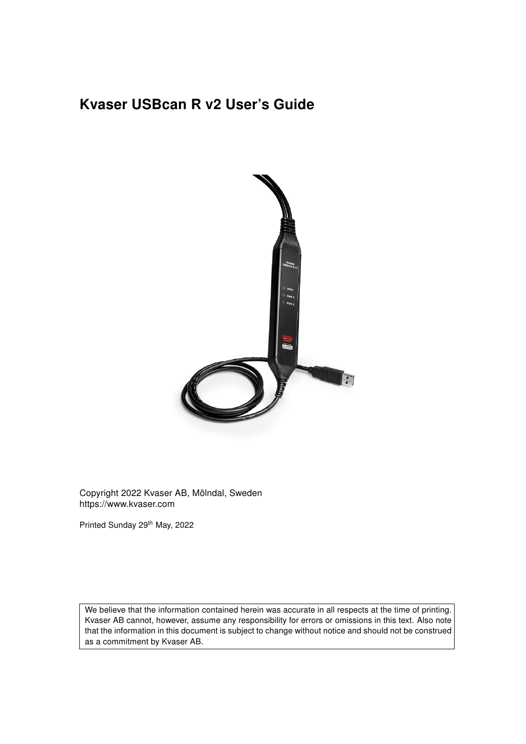# Kvaser USBcan R v2 User's Guide



Copyright 2022 Kvaser AB, Mölndal, Sweden https://www.kvaser.com

Printed Sunday 29<sup>th</sup> May, 2022

We believe that the information contained herein was accurate in all respects at the time of printing. Kvaser AB cannot, however, assume any responsibility for errors or omissions in this text. Also note that the information in this document is subject to change without notice and should not be construed as a commitment by Kvaser AB.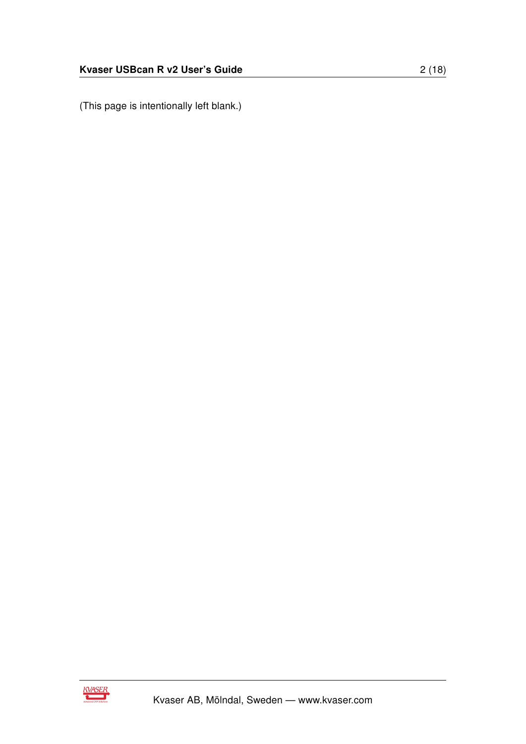(This page is intentionally left blank.)

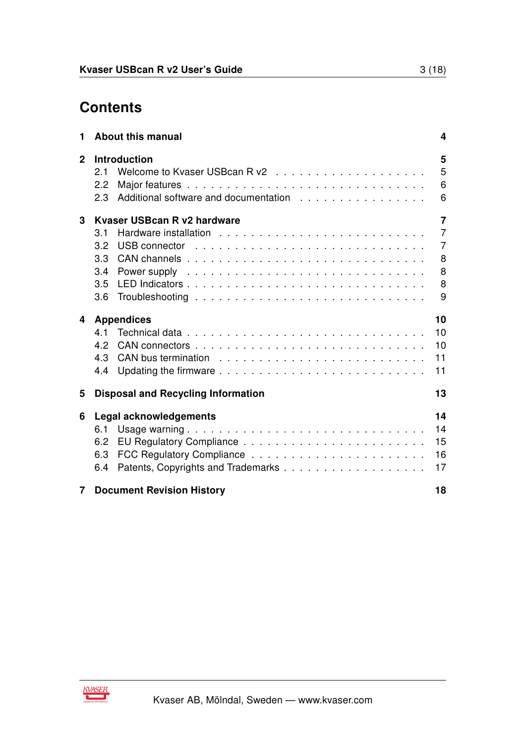# **Contents**

| 1.             |            | <b>About this manual</b><br>4                                                                                                                                                                                                  |                |  |  |  |
|----------------|------------|--------------------------------------------------------------------------------------------------------------------------------------------------------------------------------------------------------------------------------|----------------|--|--|--|
| $\overline{2}$ | 2.1        | <b>Introduction</b>                                                                                                                                                                                                            | 5<br>5         |  |  |  |
|                |            |                                                                                                                                                                                                                                | 6              |  |  |  |
|                | 2.2        |                                                                                                                                                                                                                                |                |  |  |  |
|                | 2.3        | Additional software and documentation                                                                                                                                                                                          | 6              |  |  |  |
| 3              |            | $\overline{7}$<br>Kvaser USBcan R v2 hardware                                                                                                                                                                                  |                |  |  |  |
|                | 3.1        |                                                                                                                                                                                                                                | $\overline{7}$ |  |  |  |
|                | 3.2        |                                                                                                                                                                                                                                | $\overline{7}$ |  |  |  |
|                | 3.3        |                                                                                                                                                                                                                                | 8              |  |  |  |
|                | 3.4        | Power supply received a series of the contract of the contract of the contract of the contract of the contract of the contract of the contract of the contract of the contract of the contract of the contract of the contract | 8              |  |  |  |
|                | 3.5        |                                                                                                                                                                                                                                | 8              |  |  |  |
|                | 3.6        |                                                                                                                                                                                                                                | 9              |  |  |  |
| 4              |            | <b>Appendices</b>                                                                                                                                                                                                              | 10             |  |  |  |
|                | 4.1        |                                                                                                                                                                                                                                | 10             |  |  |  |
|                | 4.2        |                                                                                                                                                                                                                                | 10             |  |  |  |
|                | 4.3        |                                                                                                                                                                                                                                | 11             |  |  |  |
|                | 4.4        |                                                                                                                                                                                                                                | 11             |  |  |  |
| 5              |            | <b>Disposal and Recycling Information</b>                                                                                                                                                                                      | 13             |  |  |  |
| 6              |            | Legal acknowledgements                                                                                                                                                                                                         | 14             |  |  |  |
|                | 6.1        |                                                                                                                                                                                                                                | 14             |  |  |  |
|                |            |                                                                                                                                                                                                                                | 15             |  |  |  |
|                | 6.2<br>6.3 |                                                                                                                                                                                                                                | 16             |  |  |  |
|                |            |                                                                                                                                                                                                                                | 17             |  |  |  |
|                | 6.4        |                                                                                                                                                                                                                                |                |  |  |  |
| $\overline{7}$ |            | <b>Document Revision History</b>                                                                                                                                                                                               | 18             |  |  |  |

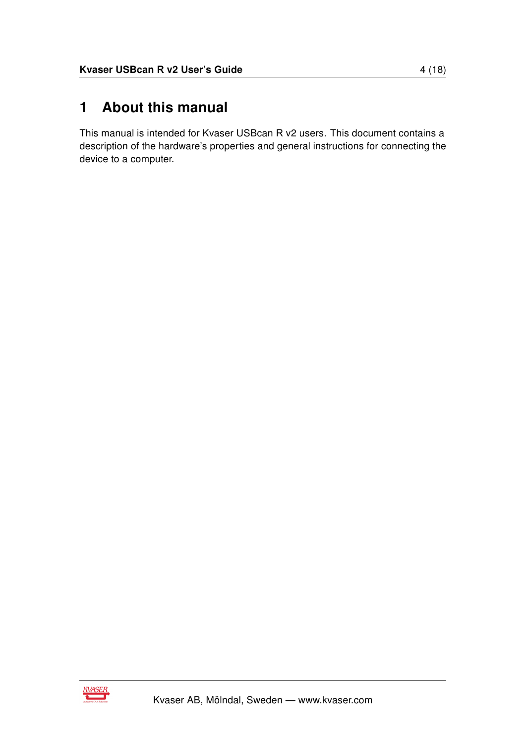# <span id="page-3-0"></span>1 About this manual

This manual is intended for Kvaser USBcan R v2 users. This document contains a description of the hardware's properties and general instructions for connecting the device to a computer.

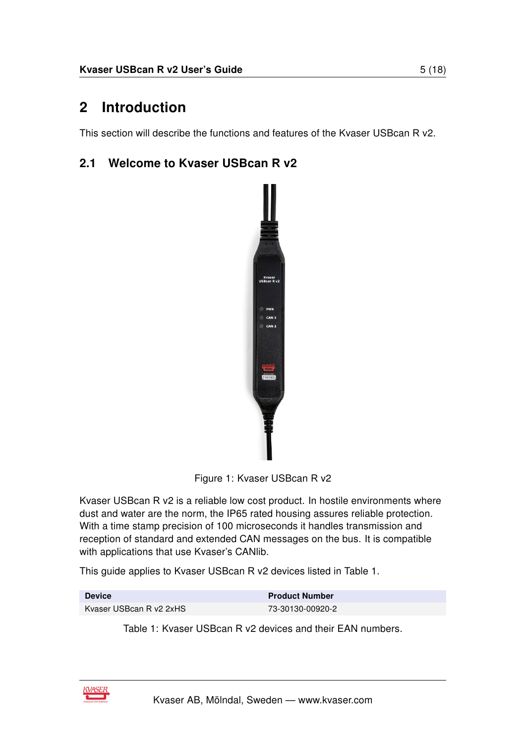# <span id="page-4-0"></span>2 Introduction

This section will describe the functions and features of the Kvaser USBcan R v2.

## <span id="page-4-1"></span>2.1 Welcome to Kvaser USBcan R v2



Figure 1: Kvaser USBcan R v2

Kvaser USBcan R v2 is a reliable low cost product. In hostile environments where dust and water are the norm, the IP65 rated housing assures reliable protection. With a time stamp precision of 100 microseconds it handles transmission and reception of standard and extended CAN messages on the bus. It is compatible with applications that use Kvaser's CANlib.

This guide applies to Kvaser USBcan R v2 devices listed in [Table 1.](#page-4-2)

| <b>Device</b>           | <b>Product Number</b> |
|-------------------------|-----------------------|
| Kvaser USBcan R v2 2xHS | 73-30130-00920-2      |

<span id="page-4-2"></span>Table 1: Kvaser USBcan R v2 devices and their EAN numbers.

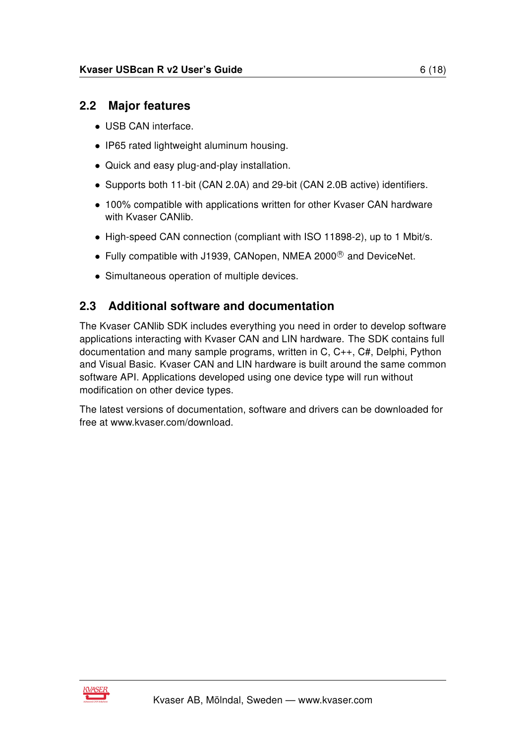#### <span id="page-5-0"></span>2.2 Major features

- USB CAN interface.
- IP65 rated lightweight aluminum housing.
- Quick and easy plug-and-play installation.
- Supports both 11-bit (CAN 2.0A) and 29-bit (CAN 2.0B active) identifiers.
- 100% compatible with applications written for other Kvaser CAN hardware with Kvaser CANlib.
- High-speed CAN connection (compliant with ISO 11898-2), up to 1 Mbit/s.
- Fully compatible with J1939, CANopen, NMEA 2000 $^{\circledR}$  and DeviceNet.
- Simultaneous operation of multiple devices.

### <span id="page-5-1"></span>2.3 Additional software and documentation

The Kvaser CANlib SDK includes everything you need in order to develop software applications interacting with Kvaser CAN and LIN hardware. The SDK contains full documentation and many sample programs, written in C, C++, C#, Delphi, Python and Visual Basic. Kvaser CAN and LIN hardware is built around the same common software API. Applications developed using one device type will run without modification on other device types.

The latest versions of documentation, software and drivers can be downloaded for free at [www.kvaser.com/download.](https://www.kvaser.com/download/)

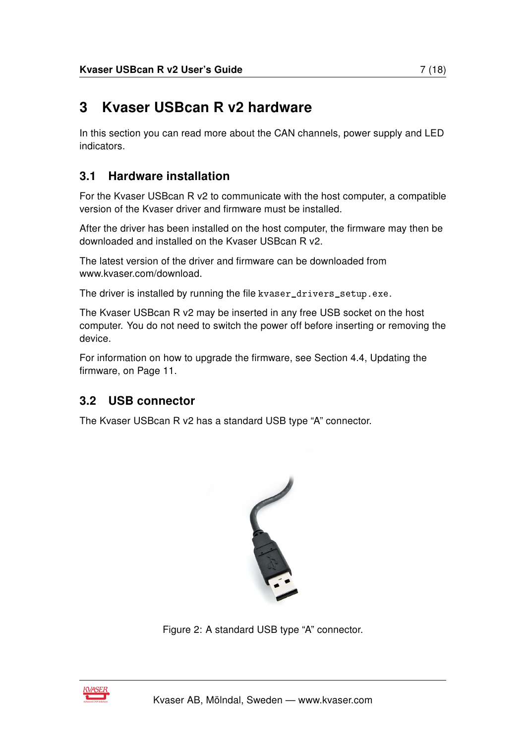# <span id="page-6-0"></span>3 Kvaser USBcan R v2 hardware

In this section you can read more about the CAN channels, power supply and LED indicators.

## <span id="page-6-1"></span>3.1 Hardware installation

For the Kvaser USBcan R v2 to communicate with the host computer, a compatible version of the Kvaser driver and firmware must be installed.

After the driver has been installed on the host computer, the firmware may then be downloaded and installed on the Kvaser USBcan R v2.

The latest version of the driver and firmware can be downloaded from [www.kvaser.com/download.](https://www.kvaser.com/download/)

The driver is installed by running the file kvaser\_drivers\_setup.exe.

The Kvaser USBcan R v2 may be inserted in any free USB socket on the host computer. You do not need to switch the power off before inserting or removing the device.

For information on how to upgrade the firmware, see [Section 4.4, Updating the](#page-10-1) [firmware, on Page 11.](#page-10-1)

## <span id="page-6-2"></span>3.2 USB connector

The Kvaser USBcan R v2 has a standard USB type "A" connector.



Figure 2: A standard USB type "A" connector.

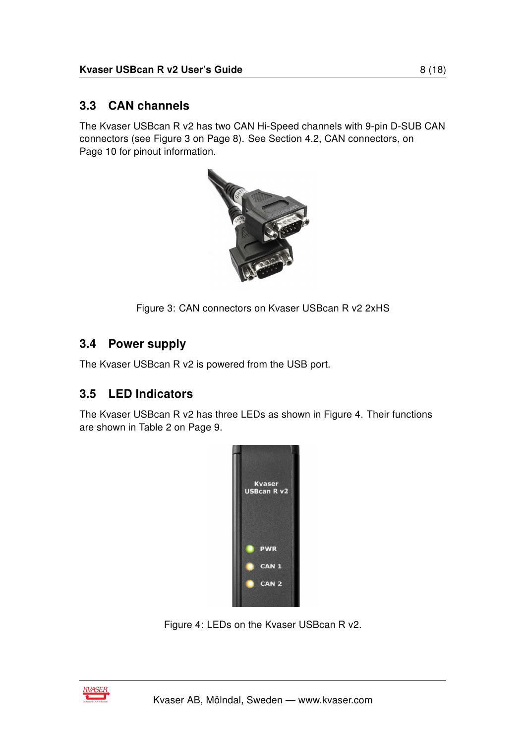## <span id="page-7-0"></span>3.3 CAN channels

The Kvaser USBcan R v2 has two CAN Hi-Speed channels with 9-pin D-SUB CAN connectors (see [Figure 3 on Page 8\)](#page-7-3). See [Section 4.2, CAN connectors, on](#page-9-2) [Page 10](#page-9-2) for pinout information.



<span id="page-7-3"></span>Figure 3: CAN connectors on Kvaser USBcan R v2 2xHS

## <span id="page-7-1"></span>3.4 Power supply

The Kvaser USBcan R v2 is powered from the USB port.

## <span id="page-7-2"></span>3.5 LED Indicators

The Kvaser USBcan R v2 has three LEDs as shown in [Figure 4.](#page-7-4) Their functions are shown in [Table 2 on Page 9.](#page-8-1)



Figure 4: LEDs on the Kvaser USBcan R v2.

<span id="page-7-4"></span>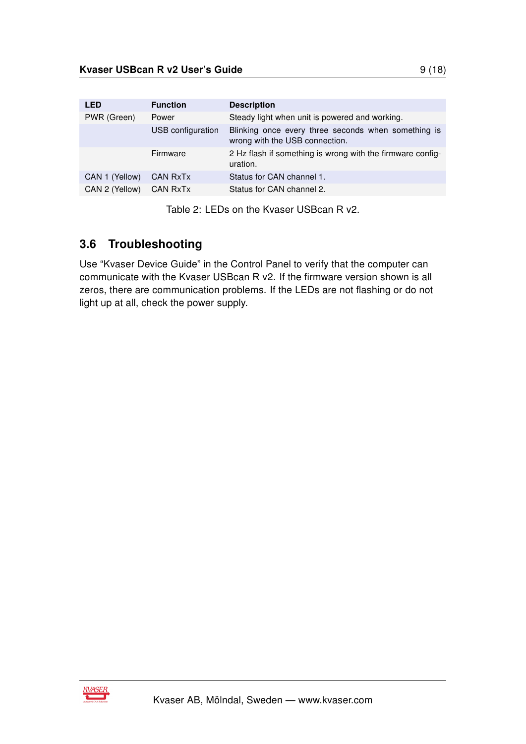| <b>LED</b>     | <b>Function</b>   | <b>Description</b>                                                                    |
|----------------|-------------------|---------------------------------------------------------------------------------------|
| PWR (Green)    | Power             | Steady light when unit is powered and working.                                        |
|                | USB configuration | Blinking once every three seconds when something is<br>wrong with the USB connection. |
|                | Firmware          | 2 Hz flash if something is wrong with the firmware config-<br>uration.                |
| CAN 1 (Yellow) | CAN RxTx          | Status for CAN channel 1.                                                             |
| CAN 2 (Yellow) | <b>CAN RxTx</b>   | Status for CAN channel 2.                                                             |

<span id="page-8-1"></span>Table 2: LEDs on the Kvaser USBcan R v2.

## <span id="page-8-0"></span>3.6 Troubleshooting

Use "Kvaser Device Guide" in the Control Panel to verify that the computer can communicate with the Kvaser USBcan R v2. If the firmware version shown is all zeros, there are communication problems. If the LEDs are not flashing or do not light up at all, check the power supply.

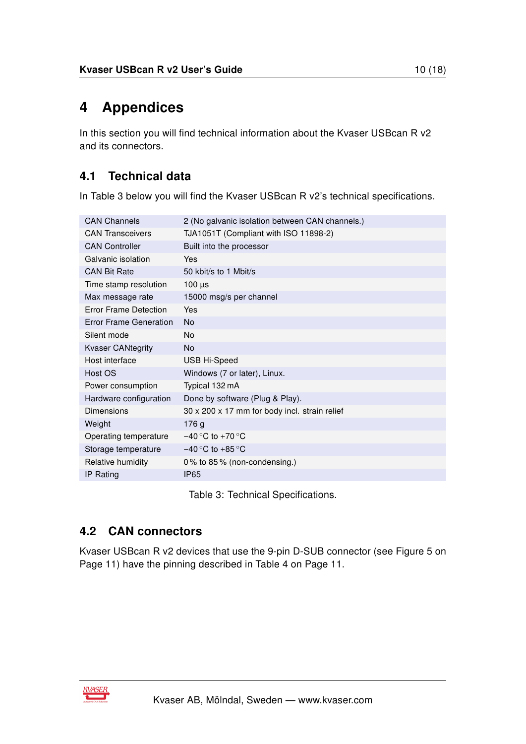# <span id="page-9-0"></span>4 Appendices

In this section you will find technical information about the Kvaser USBcan R v2 and its connectors.

## <span id="page-9-1"></span>4.1 Technical data

In [Table 3](#page-9-3) below you will find the Kvaser USBcan R v2's technical specifications.

| <b>CAN Channels</b>           | 2 (No galvanic isolation between CAN channels.)    |
|-------------------------------|----------------------------------------------------|
| <b>CAN Transceivers</b>       | TJA1051T (Compliant with ISO 11898-2)              |
| <b>CAN Controller</b>         | Built into the processor                           |
| Galvanic isolation            | Yes                                                |
| <b>CAN Bit Rate</b>           | 50 kbit/s to 1 Mbit/s                              |
| Time stamp resolution         | $100 \mu s$                                        |
| Max message rate              | 15000 msg/s per channel                            |
| <b>Error Frame Detection</b>  | Yes                                                |
| <b>Error Frame Generation</b> | <b>No</b>                                          |
| Silent mode                   | No                                                 |
| <b>Kvaser CANtegrity</b>      | <b>No</b>                                          |
| Host interface                | <b>USB Hi-Speed</b>                                |
| Host OS                       | Windows (7 or later), Linux.                       |
| Power consumption             | Typical 132 mA                                     |
| Hardware configuration        | Done by software (Plug & Play).                    |
| Dimensions                    | 30 x 200 x 17 mm for body incl. strain relief      |
| Weight                        | 176 g                                              |
| Operating temperature         | $-40\,^{\circ}$ C to +70 $^{\circ}$ C              |
| Storage temperature           | $-40\,^{\circ}\text{C}$ to $+85\,^{\circ}\text{C}$ |
| Relative humidity             | 0% to 85% (non-condensing.)                        |
| IP Rating                     | <b>IP65</b>                                        |

<span id="page-9-3"></span>Table 3: Technical Specifications.

## <span id="page-9-2"></span>4.2 CAN connectors

Kvaser USBcan R v2 devices that use the 9-pin D-SUB connector (see [Figure 5 on](#page-10-2) [Page 11\)](#page-10-2) have the pinning described in [Table 4 on Page 11.](#page-10-3)

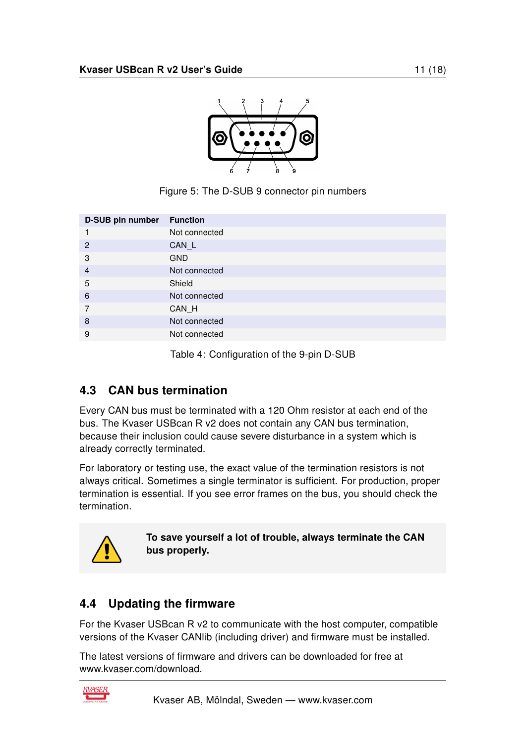

<span id="page-10-2"></span>Figure 5: The D-SUB 9 connector pin numbers

| D-SUB pin number | <b>Function</b> |
|------------------|-----------------|
|                  | Not connected   |
| 2                | CAN_L           |
| 3                | <b>GND</b>      |
| $\overline{4}$   | Not connected   |
| 5                | Shield          |
| 6                | Not connected   |
| 7                | CAN_H           |
| 8                | Not connected   |
| 9                | Not connected   |
|                  |                 |

<span id="page-10-3"></span>Table 4: Configuration of the 9-pin D-SUB

## <span id="page-10-0"></span>4.3 CAN bus termination

Every CAN bus must be terminated with a 120 Ohm resistor at each end of the bus. The Kvaser USBcan R v2 does not contain any CAN bus termination, because their inclusion could cause severe disturbance in a system which is already correctly terminated.

For laboratory or testing use, the exact value of the termination resistors is not always critical. Sometimes a single terminator is sufficient. For production, proper termination is essential. If you see error frames on the bus, you should check the termination.



To save yourself a lot of trouble, always terminate the CAN bus properly.

## <span id="page-10-1"></span>4.4 Updating the firmware

For the Kvaser USBcan R v2 to communicate with the host computer, compatible versions of the Kvaser CANlib (including driver) and firmware must be installed.

The latest versions of firmware and drivers can be downloaded for free at [www.kvaser.com/download.](https://www.kvaser.com/download/)

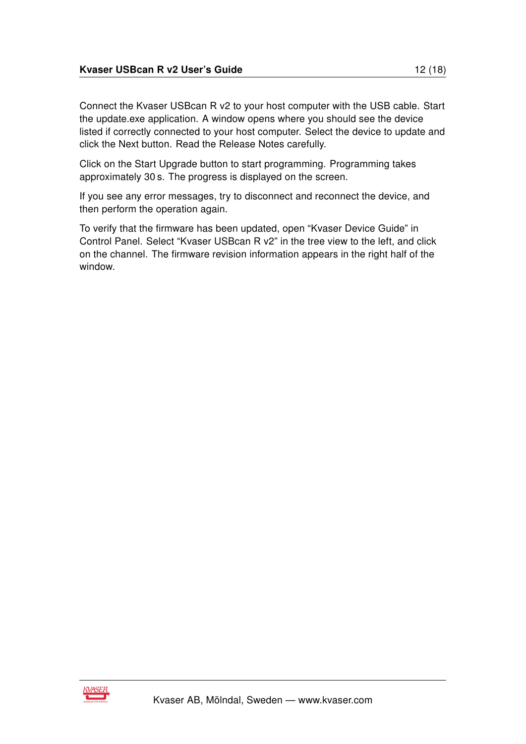Connect the Kvaser USBcan R v2 to your host computer with the USB cable. Start the update.exe application. A window opens where you should see the device listed if correctly connected to your host computer. Select the device to update and click the Next button. Read the Release Notes carefully.

Click on the Start Upgrade button to start programming. Programming takes approximately 30 s. The progress is displayed on the screen.

If you see any error messages, try to disconnect and reconnect the device, and then perform the operation again.

To verify that the firmware has been updated, open "Kvaser Device Guide" in Control Panel. Select "Kvaser USBcan R v2" in the tree view to the left, and click on the channel. The firmware revision information appears in the right half of the window.

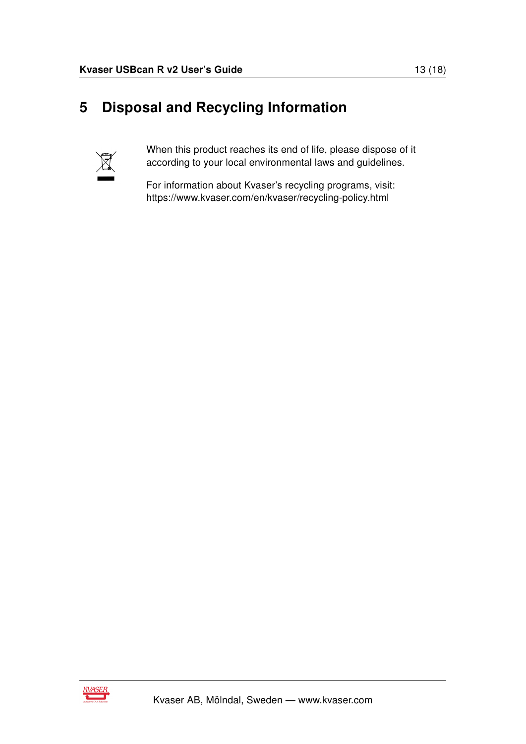# <span id="page-12-0"></span>5 Disposal and Recycling Information



When this product reaches its end of life, please dispose of it according to your local environmental laws and guidelines.

For information about Kvaser's recycling programs, visit: <https://www.kvaser.com/en/kvaser/recycling-policy.html>

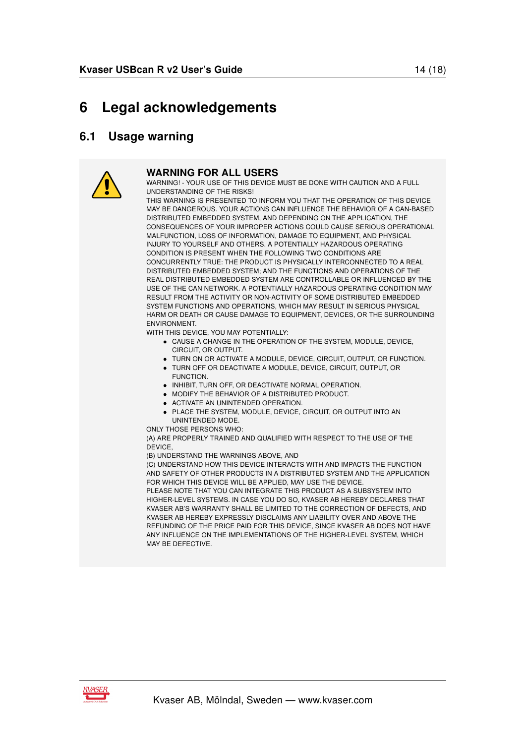# <span id="page-13-0"></span>6 Legal acknowledgements

#### <span id="page-13-1"></span>6.1 Usage warning



#### WARNING FOR ALL USERS

WARNING! - YOUR USE OF THIS DEVICE MUST BE DONE WITH CAUTION AND A FULL UNDERSTANDING OF THE RISKS!

THIS WARNING IS PRESENTED TO INFORM YOU THAT THE OPERATION OF THIS DEVICE MAY BE DANGEROUS. YOUR ACTIONS CAN INFLUENCE THE BEHAVIOR OF A CAN-BASED DISTRIBUTED EMBEDDED SYSTEM, AND DEPENDING ON THE APPLICATION, THE CONSEQUENCES OF YOUR IMPROPER ACTIONS COULD CAUSE SERIOUS OPERATIONAL MALFUNCTION, LOSS OF INFORMATION, DAMAGE TO EQUIPMENT, AND PHYSICAL INJURY TO YOURSELF AND OTHERS. A POTENTIALLY HAZARDOUS OPERATING CONDITION IS PRESENT WHEN THE FOLLOWING TWO CONDITIONS ARE CONCURRENTLY TRUE: THE PRODUCT IS PHYSICALLY INTERCONNECTED TO A REAL DISTRIBUTED EMBEDDED SYSTEM; AND THE FUNCTIONS AND OPERATIONS OF THE REAL DISTRIBUTED EMBEDDED SYSTEM ARE CONTROLLABLE OR INFLUENCED BY THE USE OF THE CAN NETWORK. A POTENTIALLY HAZARDOUS OPERATING CONDITION MAY RESULT FROM THE ACTIVITY OR NON-ACTIVITY OF SOME DISTRIBUTED EMBEDDED SYSTEM FUNCTIONS AND OPERATIONS, WHICH MAY RESULT IN SERIOUS PHYSICAL HARM OR DEATH OR CAUSE DAMAGE TO EQUIPMENT, DEVICES, OR THE SURROUNDING ENVIRONMENT.

WITH THIS DEVICE, YOU MAY POTENTIALLY:

- CAUSE A CHANGE IN THE OPERATION OF THE SYSTEM, MODULE, DEVICE, CIRCUIT, OR OUTPUT.
- TURN ON OR ACTIVATE A MODULE, DEVICE, CIRCUIT, OUTPUT, OR FUNCTION.
- TURN OFF OR DEACTIVATE A MODULE, DEVICE, CIRCUIT, OUTPUT, OR FUNCTION.
- INHIBIT, TURN OFF, OR DEACTIVATE NORMAL OPERATION.
- MODIFY THE BEHAVIOR OF A DISTRIBUTED PRODUCT.
- ACTIVATE AN UNINTENDED OPERATION.
- PLACE THE SYSTEM, MODULE, DEVICE, CIRCUIT, OR OUTPUT INTO AN UNINTENDED MODE.

ONLY THOSE PERSONS WHO:

(A) ARE PROPERLY TRAINED AND QUALIFIED WITH RESPECT TO THE USE OF THE DEVICE,

(B) UNDERSTAND THE WARNINGS ABOVE, AND

(C) UNDERSTAND HOW THIS DEVICE INTERACTS WITH AND IMPACTS THE FUNCTION AND SAFETY OF OTHER PRODUCTS IN A DISTRIBUTED SYSTEM AND THE APPLICATION FOR WHICH THIS DEVICE WILL BE APPLIED, MAY USE THE DEVICE.

PLEASE NOTE THAT YOU CAN INTEGRATE THIS PRODUCT AS A SUBSYSTEM INTO HIGHER-LEVEL SYSTEMS. IN CASE YOU DO SO, KVASER AB HEREBY DECLARES THAT KVASER AB'S WARRANTY SHALL BE LIMITED TO THE CORRECTION OF DEFECTS, AND KVASER AB HEREBY EXPRESSLY DISCLAIMS ANY LIABILITY OVER AND ABOVE THE REFUNDING OF THE PRICE PAID FOR THIS DEVICE, SINCE KVASER AB DOES NOT HAVE ANY INFLUENCE ON THE IMPLEMENTATIONS OF THE HIGHER-LEVEL SYSTEM, WHICH MAY BE DEFECTIVE.

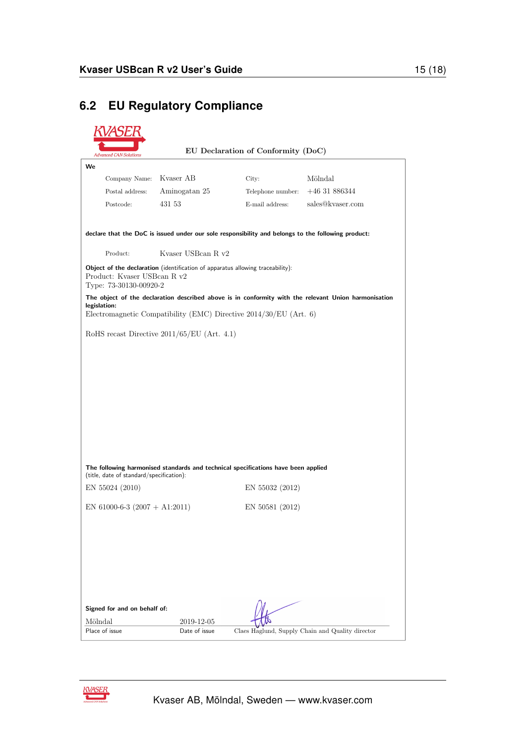# <span id="page-14-0"></span>6.2 EU Regulatory Compliance

| EU Declaration of Conformity (DoC)<br><b>Advanced CAN Solutions</b>                                                                     |                    |                                                                                                    |                                                                                                      |
|-----------------------------------------------------------------------------------------------------------------------------------------|--------------------|----------------------------------------------------------------------------------------------------|------------------------------------------------------------------------------------------------------|
| We                                                                                                                                      |                    |                                                                                                    |                                                                                                      |
| Company Name:                                                                                                                           | Kvaser AB          | City:                                                                                              | Mölndal                                                                                              |
| Postal address:                                                                                                                         | Aminogatan 25      | Telephone number:                                                                                  | $+46$ 31 886344                                                                                      |
| Postcode:                                                                                                                               | 431 53             | E-mail address:                                                                                    | sales@kvaser.com                                                                                     |
|                                                                                                                                         |                    | declare that the DoC is issued under our sole responsibility and belongs to the following product: |                                                                                                      |
| Product:                                                                                                                                | Kvaser USBcan R v2 |                                                                                                    |                                                                                                      |
| Object of the declaration (identification of apparatus allowing traceability):<br>Product: Kvaser USBcan R v2<br>Type: 73-30130-00920-2 |                    |                                                                                                    |                                                                                                      |
| legislation:                                                                                                                            |                    |                                                                                                    | The object of the declaration described above is in conformity with the relevant Union harmonisation |
|                                                                                                                                         |                    | Electromagnetic Compatibility (EMC) Directive $2014/30/EU$ (Art. 6)                                |                                                                                                      |
| RoHS recast Directive 2011/65/EU (Art. 4.1)                                                                                             |                    |                                                                                                    |                                                                                                      |
|                                                                                                                                         |                    |                                                                                                    |                                                                                                      |
|                                                                                                                                         |                    |                                                                                                    |                                                                                                      |
|                                                                                                                                         |                    |                                                                                                    |                                                                                                      |
|                                                                                                                                         |                    |                                                                                                    |                                                                                                      |
|                                                                                                                                         |                    |                                                                                                    |                                                                                                      |
|                                                                                                                                         |                    |                                                                                                    |                                                                                                      |
|                                                                                                                                         |                    |                                                                                                    |                                                                                                      |
|                                                                                                                                         |                    |                                                                                                    |                                                                                                      |
|                                                                                                                                         |                    |                                                                                                    |                                                                                                      |
|                                                                                                                                         |                    |                                                                                                    |                                                                                                      |
| (title, date of standard/specification):                                                                                                |                    | The following harmonised standards and technical specifications have been applied                  |                                                                                                      |
| EN 55024 (2010)                                                                                                                         |                    | EN 55032 (2012)                                                                                    |                                                                                                      |
| EN 61000-6-3 $(2007 + A1:2011)$                                                                                                         |                    | EN 50581 (2012)                                                                                    |                                                                                                      |
|                                                                                                                                         |                    |                                                                                                    |                                                                                                      |
|                                                                                                                                         |                    |                                                                                                    |                                                                                                      |
|                                                                                                                                         |                    |                                                                                                    |                                                                                                      |
|                                                                                                                                         |                    |                                                                                                    |                                                                                                      |
|                                                                                                                                         |                    |                                                                                                    |                                                                                                      |
|                                                                                                                                         |                    |                                                                                                    |                                                                                                      |
|                                                                                                                                         |                    |                                                                                                    |                                                                                                      |
| Signed for and on behalf of:                                                                                                            |                    |                                                                                                    |                                                                                                      |
| Mölndal                                                                                                                                 | 2019-12-05         |                                                                                                    |                                                                                                      |
| Place of issue                                                                                                                          | Date of issue      |                                                                                                    | Claes Haglund, Supply Chain and Quality director                                                     |

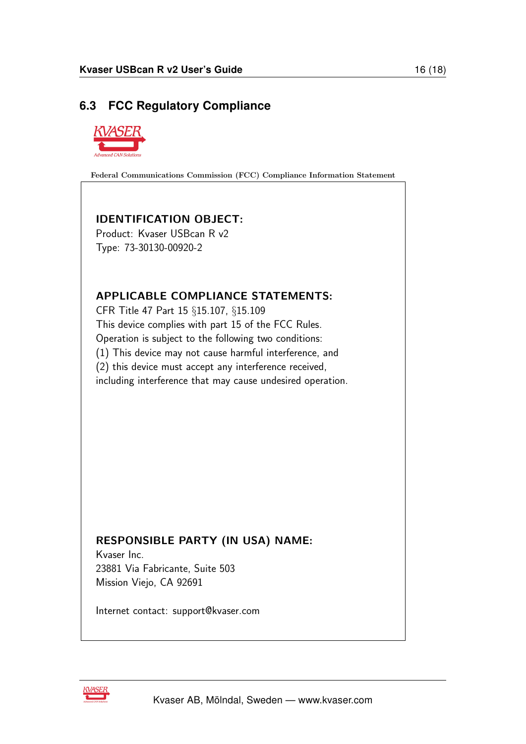### <span id="page-15-0"></span>6.3 FCC Regulatory Compliance



Federal Communications Commission (FCC) Compliance Information Statement

#### IDENTIFICATION OBJECT:

Product: Kvaser USBcan R v2 Type: 73-30130-00920-2

#### APPLICABLE COMPLIANCE STATEMENTS:

CFR Title 47 Part 15 §15.107, §15.109 This device complies with part 15 of the FCC Rules. Operation is subject to the following two conditions: (1) This device may not cause harmful interference, and (2) this device must accept any interference received, including interference that may cause undesired operation.

#### RESPONSIBLE PARTY (IN USA) NAME:

Kvaser Inc. 23881 Via Fabricante, Suite 503 Mission Viejo, CA 92691

Internet contact: support@kvaser.com

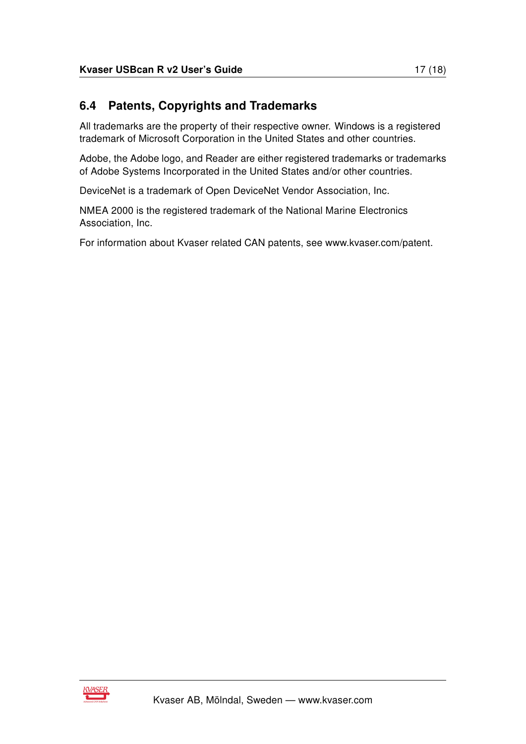## <span id="page-16-0"></span>6.4 Patents, Copyrights and Trademarks

All trademarks are the property of their respective owner. Windows is a registered trademark of Microsoft Corporation in the United States and other countries.

Adobe, the Adobe logo, and Reader are either registered trademarks or trademarks of Adobe Systems Incorporated in the United States and/or other countries.

DeviceNet is a trademark of Open DeviceNet Vendor Association, Inc.

NMEA 2000 is the registered trademark of the National Marine Electronics Association, Inc.

For information about Kvaser related CAN patents, see [www.kvaser.com/patent.](https://www.kvaser.com/patent/)